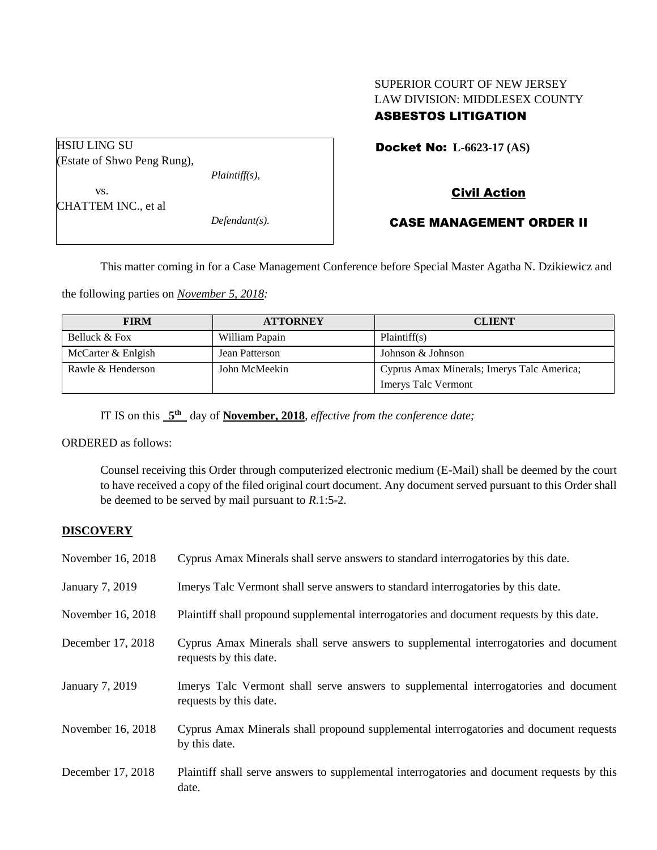# SUPERIOR COURT OF NEW JERSEY LAW DIVISION: MIDDLESEX COUNTY ASBESTOS LITIGATION

HSIU LING SU (Estate of Shwo Peng Rung), *Plaintiff(s),* vs. CHATTEM INC., et al *Defendant(s).*

## Docket No: **L-6623-17 (AS)**

# Civil Action

## CASE MANAGEMENT ORDER II

This matter coming in for a Case Management Conference before Special Master Agatha N. Dzikiewicz and

the following parties on *November 5, 2018:*

| <b>FIRM</b>        | <b>ATTORNEY</b> | <b>CLIENT</b>                              |
|--------------------|-----------------|--------------------------------------------|
| Belluck & Fox      | William Papain  | Plaintiff(s)                               |
| McCarter & Enlgish | Jean Patterson  | Johnson & Johnson                          |
| Rawle & Henderson  | John McMeekin   | Cyprus Amax Minerals; Imerys Talc America; |
|                    |                 | <b>Imerys Talc Vermont</b>                 |

IT IS on this  $5<sup>th</sup>$  day of **November, 2018**, *effective from the conference date*;

ORDERED as follows:

Counsel receiving this Order through computerized electronic medium (E-Mail) shall be deemed by the court to have received a copy of the filed original court document. Any document served pursuant to this Order shall be deemed to be served by mail pursuant to *R*.1:5-2.

### **DISCOVERY**

| November 16, 2018 | Cyprus Amax Minerals shall serve answers to standard interrogatories by this date.                              |
|-------------------|-----------------------------------------------------------------------------------------------------------------|
| January 7, 2019   | Imerys Talc Vermont shall serve answers to standard interrogatories by this date.                               |
| November 16, 2018 | Plaintiff shall propound supplemental interrogatories and document requests by this date.                       |
| December 17, 2018 | Cyprus Amax Minerals shall serve answers to supplemental interrogatories and document<br>requests by this date. |
| January 7, 2019   | Imerys Talc Vermont shall serve answers to supplemental interrogatories and document<br>requests by this date.  |
| November 16, 2018 | Cyprus Amax Minerals shall propound supplemental interrogatories and document requests<br>by this date.         |
| December 17, 2018 | Plaintiff shall serve answers to supplemental interrogatories and document requests by this<br>date.            |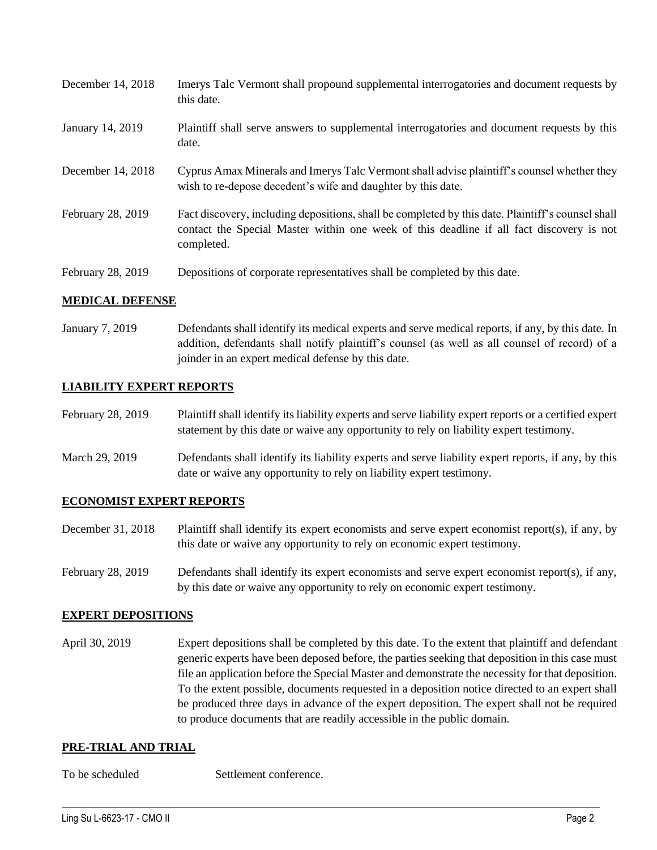| December 14, 2018 | Imerys Talc Vermont shall propound supplemental interrogatories and document requests by<br>this date.                                                                                                      |
|-------------------|-------------------------------------------------------------------------------------------------------------------------------------------------------------------------------------------------------------|
| January 14, 2019  | Plaintiff shall serve answers to supplemental interrogatories and document requests by this<br>date.                                                                                                        |
| December 14, 2018 | Cyprus Amax Minerals and Imerys Talc Vermont shall advise plaintiff's counsel whether they<br>wish to re-depose decedent's wife and daughter by this date.                                                  |
| February 28, 2019 | Fact discovery, including depositions, shall be completed by this date. Plaintiff's counsel shall<br>contact the Special Master within one week of this deadline if all fact discovery is not<br>completed. |
| February 28, 2019 | Depositions of corporate representatives shall be completed by this date.                                                                                                                                   |

### **MEDICAL DEFENSE**

January 7, 2019 Defendants shall identify its medical experts and serve medical reports, if any, by this date. In addition, defendants shall notify plaintiff's counsel (as well as all counsel of record) of a joinder in an expert medical defense by this date.

### **LIABILITY EXPERT REPORTS**

| February 28, 2019 | Plaintiff shall identify its liability experts and serve liability expert reports or a certified expert |
|-------------------|---------------------------------------------------------------------------------------------------------|
|                   | statement by this date or waive any opportunity to rely on liability expert testimony.                  |

March 29, 2019 Defendants shall identify its liability experts and serve liability expert reports, if any, by this date or waive any opportunity to rely on liability expert testimony.

#### **ECONOMIST EXPERT REPORTS**

- December 31, 2018 Plaintiff shall identify its expert economists and serve expert economist report(s), if any, by this date or waive any opportunity to rely on economic expert testimony.
- February 28, 2019 Defendants shall identify its expert economists and serve expert economist report(s), if any, by this date or waive any opportunity to rely on economic expert testimony.

#### **EXPERT DEPOSITIONS**

April 30, 2019 Expert depositions shall be completed by this date. To the extent that plaintiff and defendant generic experts have been deposed before, the parties seeking that deposition in this case must file an application before the Special Master and demonstrate the necessity for that deposition. To the extent possible, documents requested in a deposition notice directed to an expert shall be produced three days in advance of the expert deposition. The expert shall not be required to produce documents that are readily accessible in the public domain.

 $\_$  ,  $\_$  ,  $\_$  ,  $\_$  ,  $\_$  ,  $\_$  ,  $\_$  ,  $\_$  ,  $\_$  ,  $\_$  ,  $\_$  ,  $\_$  ,  $\_$  ,  $\_$  ,  $\_$  ,  $\_$  ,  $\_$  ,  $\_$  ,  $\_$  ,  $\_$  ,  $\_$  ,  $\_$  ,  $\_$  ,  $\_$  ,  $\_$  ,  $\_$  ,  $\_$  ,  $\_$  ,  $\_$  ,  $\_$  ,  $\_$  ,  $\_$  ,  $\_$  ,  $\_$  ,  $\_$  ,  $\_$  ,  $\_$  ,

#### **PRE-TRIAL AND TRIAL**

To be scheduled Settlement conference.